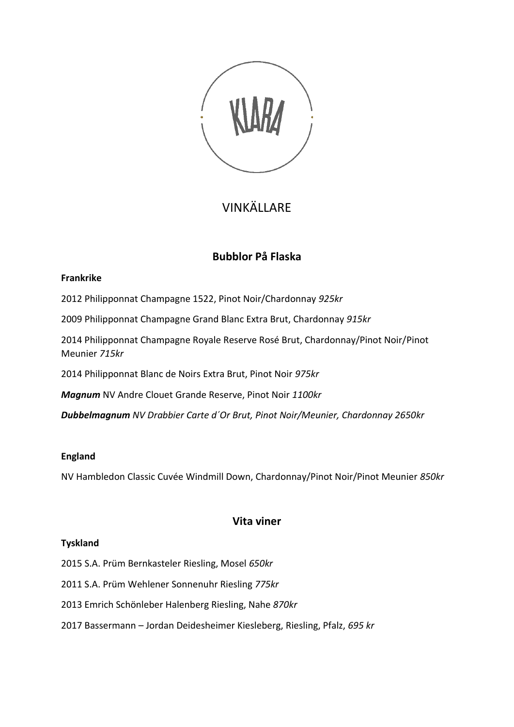

# VINKÄLLARE

# **Bubblor På Flaska**

# **Frankrike**

2012 Philipponnat Champagne 1522, Pinot Noir/Chardonnay *925kr*

2009 Philipponnat Champagne Grand Blanc Extra Brut, Chardonnay *915kr*

2014 Philipponnat Champagne Royale Reserve Rosé Brut, Chardonnay/Pinot Noir/Pinot Meunier *715kr*

2014 Philipponnat Blanc de Noirs Extra Brut, Pinot Noir *975kr*

*Magnum* NV Andre Clouet Grande Reserve, Pinot Noir *1100kr*

*Dubbelmagnum NV Drabbier Carte d´Or Brut, Pinot Noir/Meunier, Chardonnay 2650kr*

# **England**

NV Hambledon Classic Cuvée Windmill Down, Chardonnay/Pinot Noir/Pinot Meunier *850kr*

# **Vita viner**

## **Tyskland**

- 2015 S.A. Prüm Bernkasteler Riesling, Mosel *650kr*
- 2011 S.A. Prüm Wehlener Sonnenuhr Riesling *775kr*
- 2013 Emrich Schönleber Halenberg Riesling, Nahe *870kr*
- 2017 Bassermann Jordan Deidesheimer Kiesleberg, Riesling, Pfalz, *695 kr*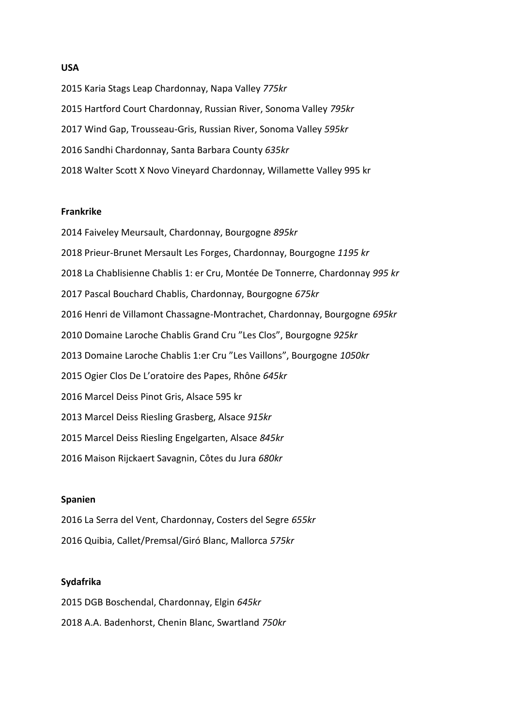#### **USA**

2015 Karia Stags Leap Chardonnay, Napa Valley *775kr* 2015 Hartford Court Chardonnay, Russian River, Sonoma Valley *795kr* 2017 Wind Gap, Trousseau-Gris, Russian River, Sonoma Valley *595kr* 2016 Sandhi Chardonnay, Santa Barbara County *635kr* 2018 Walter Scott X Novo Vineyard Chardonnay, Willamette Valley 995 kr

#### **Frankrike**

2014 Faiveley Meursault, Chardonnay, Bourgogne *895kr* 2018 Prieur-Brunet Mersault Les Forges, Chardonnay, Bourgogne *1195 kr* 2018 La Chablisienne Chablis 1: er Cru, Montée De Tonnerre, Chardonnay *995 kr* 2017 Pascal Bouchard Chablis, Chardonnay, Bourgogne *675kr* 2016 Henri de Villamont Chassagne-Montrachet, Chardonnay, Bourgogne *695kr* 2010 Domaine Laroche Chablis Grand Cru "Les Clos", Bourgogne *925kr* 2013 Domaine Laroche Chablis 1:er Cru "Les Vaillons", Bourgogne *1050kr* 2015 Ogier Clos De L'oratoire des Papes, Rhône *645kr* 2016 Marcel Deiss Pinot Gris, Alsace 595 kr 2013 Marcel Deiss Riesling Grasberg, Alsace *915kr* 2015 Marcel Deiss Riesling Engelgarten, Alsace *845kr* 2016 Maison Rijckaert Savagnin, Côtes du Jura *680kr*

#### **Spanien**

2016 La Serra del Vent, Chardonnay, Costers del Segre *655kr* 2016 Quibia, Callet/Premsal/Giró Blanc, Mallorca *575kr*

#### **Sydafrika**

2015 DGB Boschendal, Chardonnay, Elgin *645kr* 2018 A.A. Badenhorst, Chenin Blanc, Swartland *750kr*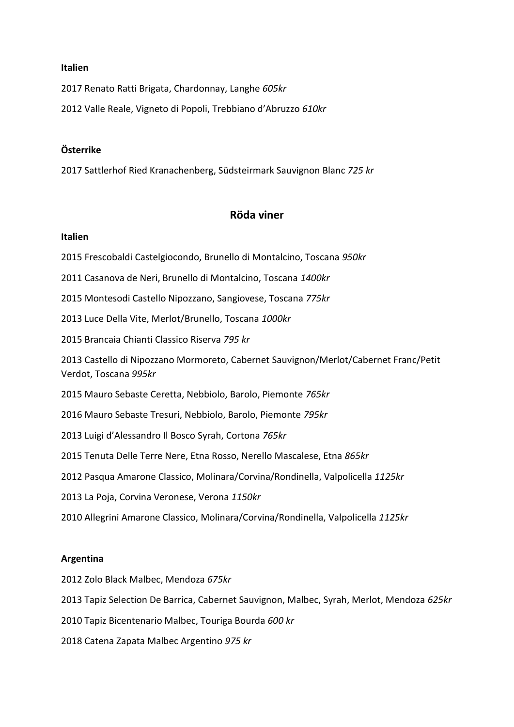#### **Italien**

2017 Renato Ratti Brigata, Chardonnay, Langhe *605kr* 2012 Valle Reale, Vigneto di Popoli, Trebbiano d'Abruzzo *610kr*

## **Österrike**

2017 Sattlerhof Ried Kranachenberg, Südsteirmark Sauvignon Blanc *725 kr*

## **Röda viner**

#### **Italien**

2015 Frescobaldi Castelgiocondo, Brunello di Montalcino, Toscana *950kr*

2011 Casanova de Neri, Brunello di Montalcino, Toscana *1400kr*

2015 Montesodi Castello Nipozzano, Sangiovese, Toscana *775kr*

2013 Luce Della Vite, Merlot/Brunello, Toscana *1000kr* 

2015 Brancaia Chianti Classico Riserva *795 kr*

2013 Castello di Nipozzano Mormoreto, Cabernet Sauvignon/Merlot/Cabernet Franc/Petit Verdot, Toscana *995kr*

2015 Mauro Sebaste Ceretta, Nebbiolo, Barolo, Piemonte *765kr*

2016 Mauro Sebaste Tresuri, Nebbiolo, Barolo, Piemonte *795kr*

2013 Luigi d'Alessandro Il Bosco Syrah, Cortona *765kr*

2015 Tenuta Delle Terre Nere, Etna Rosso, Nerello Mascalese, Etna *865kr*

2012 Pasqua Amarone Classico, Molinara/Corvina/Rondinella, Valpolicella *1125kr*

2013 La Poja, Corvina Veronese, Verona *1150kr*

2010 Allegrini Amarone Classico, Molinara/Corvina/Rondinella, Valpolicella *1125kr*

#### **Argentina**

2012 Zolo Black Malbec, Mendoza *675kr*

2013 Tapiz Selection De Barrica, Cabernet Sauvignon, Malbec, Syrah, Merlot, Mendoza *625kr*

2010 Tapiz Bicentenario Malbec, Touriga Bourda *600 kr*

2018 Catena Zapata Malbec Argentino *975 kr*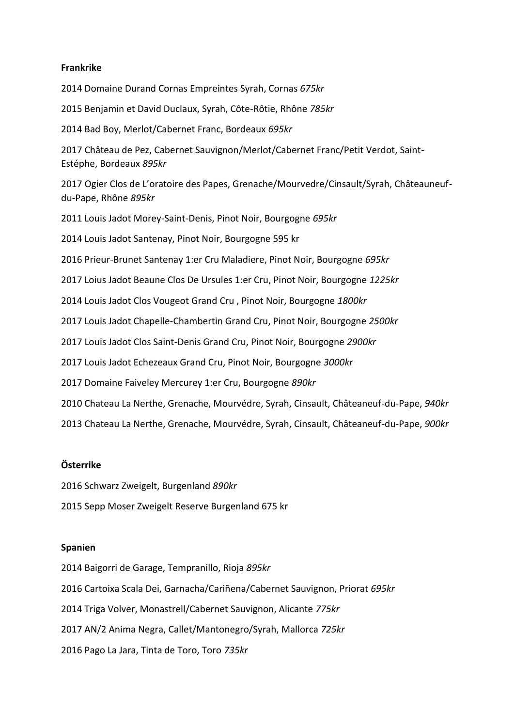#### **Frankrike**

2014 Domaine Durand Cornas Empreintes Syrah, Cornas *675kr*

2015 Benjamin et David Duclaux, Syrah, Côte-Rôtie, Rhône *785kr*

2014 Bad Boy, Merlot/Cabernet Franc, Bordeaux *695kr*

2017 Château de Pez, Cabernet Sauvignon/Merlot/Cabernet Franc/Petit Verdot, Saint-Estéphe, Bordeaux *895kr*

2017 Ogier Clos de L'oratoire des Papes, Grenache/Mourvedre/Cinsault/Syrah, Châteauneufdu-Pape, Rhône *895kr*

2011 Louis Jadot Morey-Saint-Denis, Pinot Noir, Bourgogne *695kr*

2014 Louis Jadot Santenay, Pinot Noir, Bourgogne 595 kr

2016 Prieur-Brunet Santenay 1:er Cru Maladiere, Pinot Noir, Bourgogne *695kr*

2017 Loius Jadot Beaune Clos De Ursules 1:er Cru, Pinot Noir, Bourgogne *1225kr*

2014 Louis Jadot Clos Vougeot Grand Cru , Pinot Noir, Bourgogne *1800kr*

2017 Louis Jadot Chapelle-Chambertin Grand Cru, Pinot Noir, Bourgogne *2500kr*

2017 Louis Jadot Clos Saint-Denis Grand Cru, Pinot Noir, Bourgogne *2900kr*

2017 Louis Jadot Echezeaux Grand Cru, Pinot Noir, Bourgogne *3000kr*

2017 Domaine Faiveley Mercurey 1:er Cru, Bourgogne *890kr*

2010 Chateau La Nerthe, Grenache, Mourvédre, Syrah, Cinsault, Châteaneuf-du-Pape, *940kr*

2013 Chateau La Nerthe, Grenache, Mourvédre, Syrah, Cinsault, Châteaneuf-du-Pape, *900kr*

#### **Österrike**

2016 Schwarz Zweigelt, Burgenland *890kr*

2015 Sepp Moser Zweigelt Reserve Burgenland 675 kr

#### **Spanien**

2014 Baigorri de Garage, Tempranillo, Rioja *895kr* 2016 Cartoixa Scala Dei, Garnacha/Cariñena/Cabernet Sauvignon, Priorat *695kr* 2014 Triga Volver, Monastrell/Cabernet Sauvignon, Alicante *775kr* 2017 AN/2 Anima Negra, Callet/Mantonegro/Syrah, Mallorca *725kr* 2016 Pago La Jara, Tinta de Toro, Toro *735kr*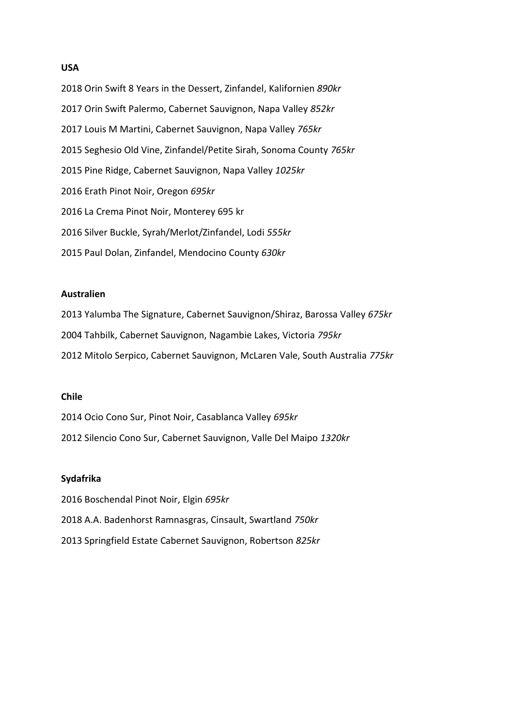#### **USA**

2018 Orin Swift 8 Years in the Dessert, Zinfandel, Kalifornien *890kr* 2017 Orin Swift Palermo, Cabernet Sauvignon, Napa Valley *852kr* 2017 Louis M Martini, Cabernet Sauvignon, Napa Valley *765kr* 2015 Seghesio Old Vine, Zinfandel/Petite Sirah, Sonoma County *765kr* 2015 Pine Ridge, Cabernet Sauvignon, Napa Valley *1025kr* 2016 Erath Pinot Noir, Oregon *695kr* 2016 La Crema Pinot Noir, Monterey 695 kr 2016 Silver Buckle, Syrah/Merlot/Zinfandel, Lodi *555kr* 2015 Paul Dolan, Zinfandel, Mendocino County *630kr*

#### **Australien**

2013 Yalumba The Signature, Cabernet Sauvignon/Shiraz, Barossa Valley *675kr* 2004 Tahbilk, Cabernet Sauvignon, Nagambie Lakes, Victoria *795kr* 2012 Mitolo Serpico, Cabernet Sauvignon, McLaren Vale, South Australia *775kr*

## **Chile**

2014 Ocio Cono Sur, Pinot Noir, Casablanca Valley *695kr* 2012 Silencio Cono Sur, Cabernet Sauvignon, Valle Del Maipo *1320kr*

#### **Sydafrika**

2016 Boschendal Pinot Noir, Elgin *695kr* 2018 A.A. Badenhorst Ramnasgras, Cinsault, Swartland *750kr* 2013 Springfield Estate Cabernet Sauvignon, Robertson *825kr*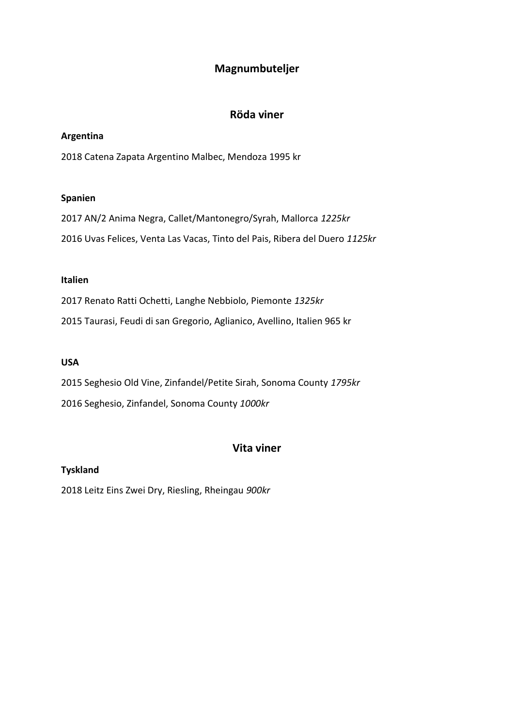# **Magnumbuteljer**

# **Röda viner**

#### **Argentina**

2018 Catena Zapata Argentino Malbec, Mendoza 1995 kr

#### **Spanien**

2017 AN/2 Anima Negra, Callet/Mantonegro/Syrah, Mallorca *1225kr* 2016 Uvas Felices, Venta Las Vacas, Tinto del Pais, Ribera del Duero *1125kr*

## **Italien**

2017 Renato Ratti Ochetti, Langhe Nebbiolo, Piemonte *1325kr*

2015 Taurasi, Feudi di san Gregorio, Aglianico, Avellino, Italien 965 kr

## **USA**

2015 Seghesio Old Vine, Zinfandel/Petite Sirah, Sonoma County *1795kr* 2016 Seghesio, Zinfandel, Sonoma County *1000kr*

# **Vita viner**

# **Tyskland**  2018 Leitz Eins Zwei Dry, Riesling, Rheingau *900kr*